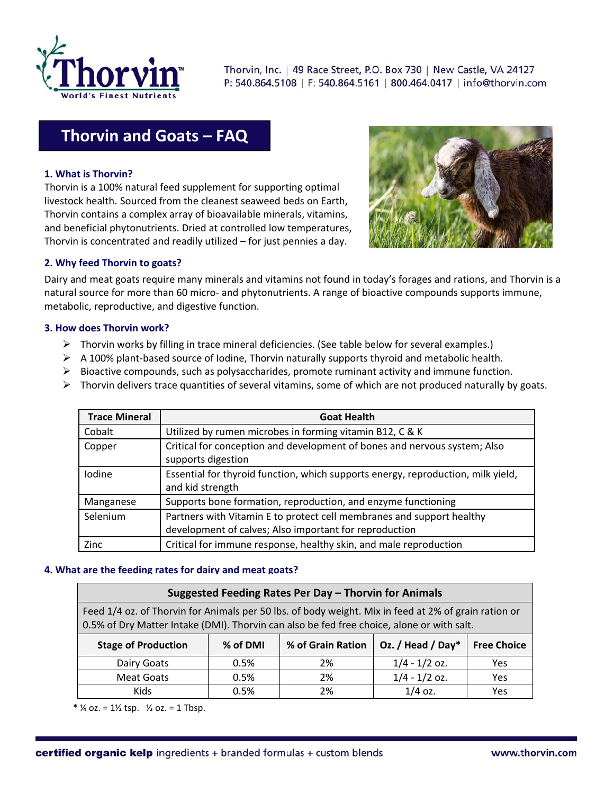

Thorvin, Inc. | 49 Race Street, P.O. Box 730 | New Castle, VA 24127 P: 540.864.5108 | F: 540.864.5161 | 800.464.0417 | info@thorvin.com

# **Thorvin and Goats – FAQ**

## **1. What is Thorvin?**

Thorvin is a 100% natural feed supplement for supporting optimal livestock health. Sourced from the cleanest seaweed beds on Earth, Thorvin contains a complex array of bioavailable minerals, vitamins, and beneficial phytonutrients. Dried at controlled low temperatures, Thorvin is concentrated and readily utilized – for just pennies a day.



## **2. Why feed Thorvin to goats?**

Dairy and meat goats require many minerals and vitamins not found in today's forages and rations, and Thorvin is a natural source for more than 60 micro- and phytonutrients. A range of bioactive compounds supports immune, metabolic, reproductive, and digestive function.

#### **3. How does Thorvin work?**

- $\triangleright$  Thorvin works by filling in trace mineral deficiencies. (See table below for several examples.)
- A 100% plant‐based source of Iodine, Thorvin naturally supports thyroid and metabolic health.
- $\triangleright$  Bioactive compounds, such as polysaccharides, promote ruminant activity and immune function.
- $\triangleright$  Thorvin delivers trace quantities of several vitamins, some of which are not produced naturally by goats.

| <b>Trace Mineral</b> | <b>Goat Health</b>                                                                                                              |  |  |  |
|----------------------|---------------------------------------------------------------------------------------------------------------------------------|--|--|--|
| Cobalt               | Utilized by rumen microbes in forming vitamin B12, C & K                                                                        |  |  |  |
| Copper               | Critical for conception and development of bones and nervous system; Also<br>supports digestion                                 |  |  |  |
| Iodine               | Essential for thyroid function, which supports energy, reproduction, milk yield,<br>and kid strength                            |  |  |  |
| Manganese            | Supports bone formation, reproduction, and enzyme functioning                                                                   |  |  |  |
| Selenium             | Partners with Vitamin E to protect cell membranes and support healthy<br>development of calves; Also important for reproduction |  |  |  |
| Zinc                 | Critical for immune response, healthy skin, and male reproduction                                                               |  |  |  |

#### **4. What are the feeding rates for dairy and meat goats?**

| Suggested Feeding Rates Per Day - Thorvin for Animals                                                                                                                                             |          |                   |                   |                    |  |
|---------------------------------------------------------------------------------------------------------------------------------------------------------------------------------------------------|----------|-------------------|-------------------|--------------------|--|
| Feed 1/4 oz. of Thorvin for Animals per 50 lbs. of body weight. Mix in feed at 2% of grain ration or<br>0.5% of Dry Matter Intake (DMI). Thorvin can also be fed free choice, alone or with salt. |          |                   |                   |                    |  |
| <b>Stage of Production</b>                                                                                                                                                                        | % of DMI | % of Grain Ration | Oz. / Head / Day* | <b>Free Choice</b> |  |
| Dairy Goats                                                                                                                                                                                       | 0.5%     | 2%                | $1/4 - 1/2$ oz.   | <b>Yes</b>         |  |
| Meat Goats                                                                                                                                                                                        | 0.5%     | 2%                | $1/4 - 1/2$ oz.   | Yes                |  |
| <b>Kids</b>                                                                                                                                                                                       | 0.5%     | 2%                | $1/4$ oz.         | Yes                |  |

 $*$  ¼ oz. = 1½ tsp.  $\frac{1}{2}$  oz. = 1 Tbsp.